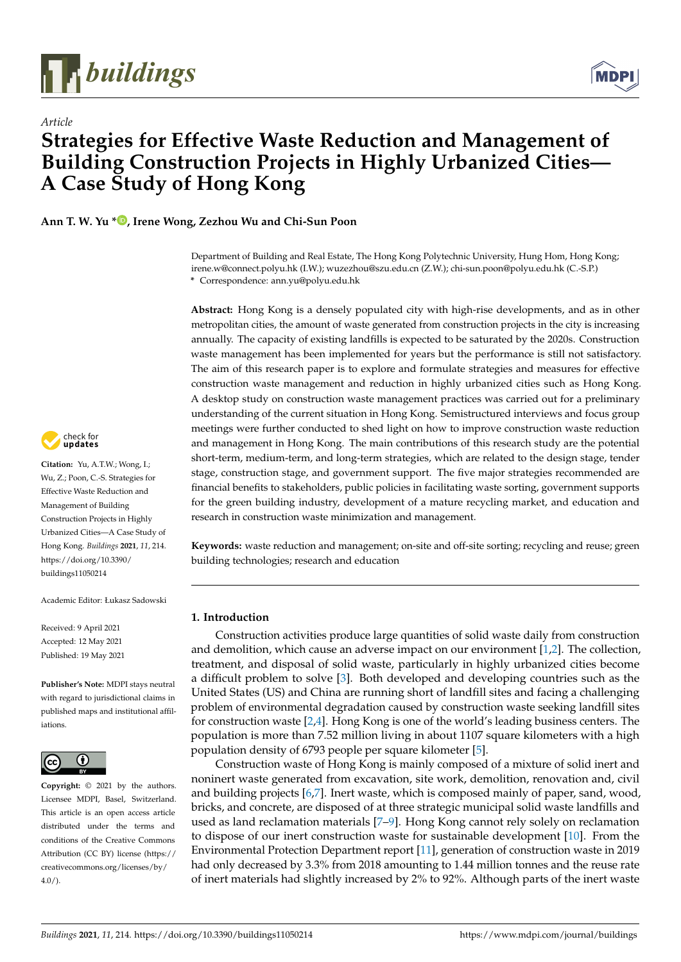

*Article*



# **Strategies for Effective Waste Reduction and Management of Building Construction Projects in Highly Urbanized Cities— A Case Study of Hong Kong**

**Ann T. W. Yu [\\*](https://orcid.org/0000-0002-1792-6024) , Irene Wong, Zezhou Wu and Chi-Sun Poon**

Department of Building and Real Estate, The Hong Kong Polytechnic University, Hung Hom, Hong Kong; irene.w@connect.polyu.hk (I.W.); wuzezhou@szu.edu.cn (Z.W.); chi-sun.poon@polyu.edu.hk (C.-S.P.) **\*** Correspondence: ann.yu@polyu.edu.hk

**Abstract:** Hong Kong is a densely populated city with high-rise developments, and as in other metropolitan cities, the amount of waste generated from construction projects in the city is increasing annually. The capacity of existing landfills is expected to be saturated by the 2020s. Construction waste management has been implemented for years but the performance is still not satisfactory. The aim of this research paper is to explore and formulate strategies and measures for effective construction waste management and reduction in highly urbanized cities such as Hong Kong. A desktop study on construction waste management practices was carried out for a preliminary understanding of the current situation in Hong Kong. Semistructured interviews and focus group meetings were further conducted to shed light on how to improve construction waste reduction and management in Hong Kong. The main contributions of this research study are the potential short-term, medium-term, and long-term strategies, which are related to the design stage, tender stage, construction stage, and government support. The five major strategies recommended are financial benefits to stakeholders, public policies in facilitating waste sorting, government supports for the green building industry, development of a mature recycling market, and education and research in construction waste minimization and management.

**Keywords:** waste reduction and management; on-site and off-site sorting; recycling and reuse; green building technologies; research and education

# **1. Introduction**

Construction activities produce large quantities of solid waste daily from construction and demolition, which cause an adverse impact on our environment [\[1](#page-12-0)[,2\]](#page-12-1). The collection, treatment, and disposal of solid waste, particularly in highly urbanized cities become a difficult problem to solve [\[3\]](#page-12-2). Both developed and developing countries such as the United States (US) and China are running short of landfill sites and facing a challenging problem of environmental degradation caused by construction waste seeking landfill sites for construction waste [\[2](#page-12-1)[,4\]](#page-12-3). Hong Kong is one of the world's leading business centers. The population is more than 7.52 million living in about 1107 square kilometers with a high population density of 6793 people per square kilometer [\[5\]](#page-12-4).

Construction waste of Hong Kong is mainly composed of a mixture of solid inert and noninert waste generated from excavation, site work, demolition, renovation and, civil and building projects [\[6](#page-12-5)[,7\]](#page-12-6). Inert waste, which is composed mainly of paper, sand, wood, bricks, and concrete, are disposed of at three strategic municipal solid waste landfills and used as land reclamation materials [\[7–](#page-12-6)[9\]](#page-12-7). Hong Kong cannot rely solely on reclamation to dispose of our inert construction waste for sustainable development [\[10\]](#page-12-8). From the Environmental Protection Department report [\[11\]](#page-12-9), generation of construction waste in 2019 had only decreased by 3.3% from 2018 amounting to 1.44 million tonnes and the reuse rate of inert materials had slightly increased by 2% to 92%. Although parts of the inert waste



**Citation:** Yu, A.T.W.; Wong, I.; Wu, Z.; Poon, C.-S. Strategies for Effective Waste Reduction and Management of Building Construction Projects in Highly Urbanized Cities—A Case Study of Hong Kong. *Buildings* **2021**, *11*, 214. [https://doi.org/10.3390/](https://doi.org/10.3390/buildings11050214) [buildings11050214](https://doi.org/10.3390/buildings11050214)

Academic Editor: Łukasz Sadowski

Received: 9 April 2021 Accepted: 12 May 2021 Published: 19 May 2021

**Publisher's Note:** MDPI stays neutral with regard to jurisdictional claims in published maps and institutional affiliations.



**Copyright:** © 2021 by the authors. Licensee MDPI, Basel, Switzerland. This article is an open access article distributed under the terms and conditions of the Creative Commons Attribution (CC BY) license (https:/[/](https://creativecommons.org/licenses/by/4.0/) [creativecommons.org/licenses/by/](https://creativecommons.org/licenses/by/4.0/)  $4.0/$ ).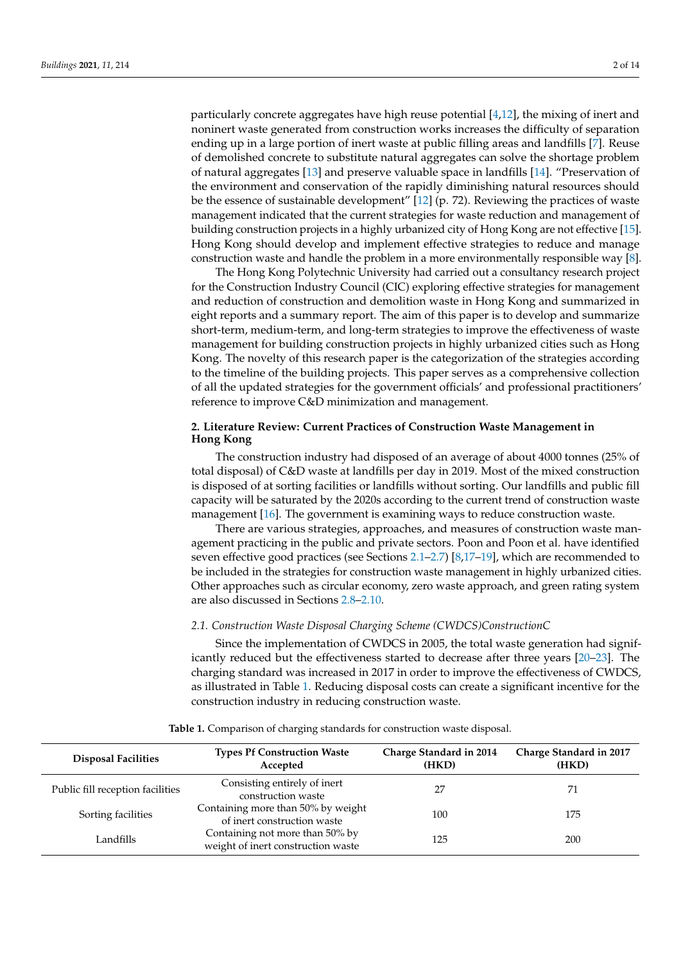particularly concrete aggregates have high reuse potential  $[4,12]$  $[4,12]$ , the mixing of inert and noninert waste generated from construction works increases the difficulty of separation ending up in a large portion of inert waste at public filling areas and landfills [\[7\]](#page-12-6). Reuse of demolished concrete to substitute natural aggregates can solve the shortage problem of natural aggregates [\[13\]](#page-12-11) and preserve valuable space in landfills [\[14\]](#page-12-12). "Preservation of the environment and conservation of the rapidly diminishing natural resources should be the essence of sustainable development" [\[12\]](#page-12-10) (p. 72). Reviewing the practices of waste management indicated that the current strategies for waste reduction and management of building construction projects in a highly urbanized city of Hong Kong are not effective [\[15\]](#page-12-13). Hong Kong should develop and implement effective strategies to reduce and manage construction waste and handle the problem in a more environmentally responsible way [\[8\]](#page-12-14).

The Hong Kong Polytechnic University had carried out a consultancy research project for the Construction Industry Council (CIC) exploring effective strategies for management and reduction of construction and demolition waste in Hong Kong and summarized in eight reports and a summary report. The aim of this paper is to develop and summarize short-term, medium-term, and long-term strategies to improve the effectiveness of waste management for building construction projects in highly urbanized cities such as Hong Kong. The novelty of this research paper is the categorization of the strategies according to the timeline of the building projects. This paper serves as a comprehensive collection of all the updated strategies for the government officials' and professional practitioners' reference to improve C&D minimization and management.

# <span id="page-1-2"></span>**2. Literature Review: Current Practices of Construction Waste Management in Hong Kong**

The construction industry had disposed of an average of about 4000 tonnes (25% of total disposal) of C&D waste at landfills per day in 2019. Most of the mixed construction is disposed of at sorting facilities or landfills without sorting. Our landfills and public fill capacity will be saturated by the 2020s according to the current trend of construction waste management [\[16\]](#page-12-15). The government is examining ways to reduce construction waste.

There are various strategies, approaches, and measures of construction waste management practicing in the public and private sectors. Poon and Poon et al. have identified seven effective good practices (see Sections [2.1–](#page-1-0)[2.7\)](#page-3-0) [\[8,](#page-12-14)[17–](#page-12-16)[19\]](#page-12-17), which are recommended to be included in the strategies for construction waste management in highly urbanized cities. Other approaches such as circular economy, zero waste approach, and green rating system are also discussed in Sections [2.8–](#page-3-1)[2.10.](#page-3-2)

# <span id="page-1-0"></span>*2.1. Construction Waste Disposal Charging Scheme (CWDCS)ConstructionC*

Since the implementation of CWDCS in 2005, the total waste generation had significantly reduced but the effectiveness started to decrease after three years [\[20–](#page-12-18)[23\]](#page-12-19). The charging standard was increased in 2017 in order to improve the effectiveness of CWDCS, as illustrated in Table [1.](#page-1-1) Reducing disposal costs can create a significant incentive for the construction industry in reducing construction waste.

<span id="page-1-1"></span>

| <b>Disposal Facilities</b>       | <b>Types Pf Construction Waste</b><br>Accepted                        | Charge Standard in 2014<br>(HKD) | Charge Standard in 2017<br>(HKD) |
|----------------------------------|-----------------------------------------------------------------------|----------------------------------|----------------------------------|
| Public fill reception facilities | Consisting entirely of inert<br>construction waste                    | 27                               | 71                               |
| Sorting facilities               | Containing more than 50% by weight<br>of inert construction waste     | 100                              | 175                              |
| Landfills                        | Containing not more than 50% by<br>weight of inert construction waste | 125                              | 200                              |

#### **Table 1.** Comparison of charging standards for construction waste disposal.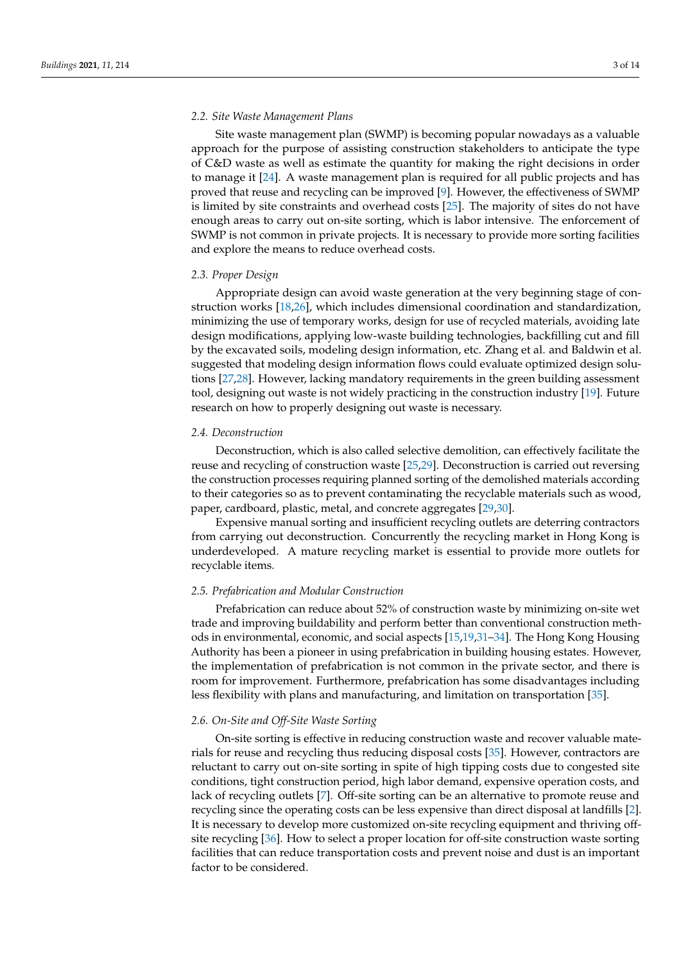#### *2.2. Site Waste Management Plans*

Site waste management plan (SWMP) is becoming popular nowadays as a valuable approach for the purpose of assisting construction stakeholders to anticipate the type of C&D waste as well as estimate the quantity for making the right decisions in order to manage it [\[24\]](#page-12-20). A waste management plan is required for all public projects and has proved that reuse and recycling can be improved [\[9\]](#page-12-7). However, the effectiveness of SWMP is limited by site constraints and overhead costs [\[25\]](#page-12-21). The majority of sites do not have enough areas to carry out on-site sorting, which is labor intensive. The enforcement of SWMP is not common in private projects. It is necessary to provide more sorting facilities and explore the means to reduce overhead costs.

#### *2.3. Proper Design*

Appropriate design can avoid waste generation at the very beginning stage of construction works [\[18,](#page-12-22)[26\]](#page-12-23), which includes dimensional coordination and standardization, minimizing the use of temporary works, design for use of recycled materials, avoiding late design modifications, applying low-waste building technologies, backfilling cut and fill by the excavated soils, modeling design information, etc. Zhang et al. and Baldwin et al. suggested that modeling design information flows could evaluate optimized design solutions [\[27](#page-12-24)[,28\]](#page-12-25). However, lacking mandatory requirements in the green building assessment tool, designing out waste is not widely practicing in the construction industry [\[19\]](#page-12-17). Future research on how to properly designing out waste is necessary.

# *2.4. Deconstruction*

Deconstruction, which is also called selective demolition, can effectively facilitate the reuse and recycling of construction waste [\[25](#page-12-21)[,29\]](#page-12-26). Deconstruction is carried out reversing the construction processes requiring planned sorting of the demolished materials according to their categories so as to prevent contaminating the recyclable materials such as wood, paper, cardboard, plastic, metal, and concrete aggregates [\[29](#page-12-26)[,30\]](#page-13-0).

Expensive manual sorting and insufficient recycling outlets are deterring contractors from carrying out deconstruction. Concurrently the recycling market in Hong Kong is underdeveloped. A mature recycling market is essential to provide more outlets for recyclable items.

#### *2.5. Prefabrication and Modular Construction*

Prefabrication can reduce about 52% of construction waste by minimizing on-site wet trade and improving buildability and perform better than conventional construction methods in environmental, economic, and social aspects [\[15,](#page-12-13)[19,](#page-12-17)[31–](#page-13-1)[34\]](#page-13-2). The Hong Kong Housing Authority has been a pioneer in using prefabrication in building housing estates. However, the implementation of prefabrication is not common in the private sector, and there is room for improvement. Furthermore, prefabrication has some disadvantages including less flexibility with plans and manufacturing, and limitation on transportation [\[35\]](#page-13-3).

## *2.6. On-Site and Off-Site Waste Sorting*

On-site sorting is effective in reducing construction waste and recover valuable materials for reuse and recycling thus reducing disposal costs [\[35\]](#page-13-3). However, contractors are reluctant to carry out on-site sorting in spite of high tipping costs due to congested site conditions, tight construction period, high labor demand, expensive operation costs, and lack of recycling outlets [\[7\]](#page-12-6). Off-site sorting can be an alternative to promote reuse and recycling since the operating costs can be less expensive than direct disposal at landfills [\[2\]](#page-12-1). It is necessary to develop more customized on-site recycling equipment and thriving offsite recycling [\[36\]](#page-13-4). How to select a proper location for off-site construction waste sorting facilities that can reduce transportation costs and prevent noise and dust is an important factor to be considered.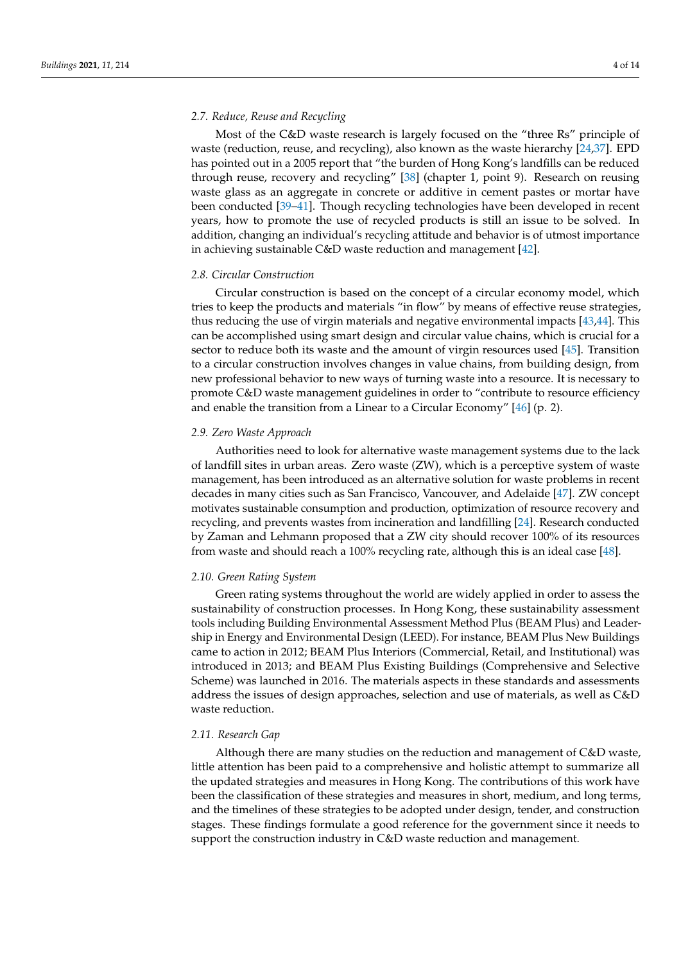# <span id="page-3-0"></span>*2.7. Reduce, Reuse and Recycling*

Most of the C&D waste research is largely focused on the "three Rs" principle of waste (reduction, reuse, and recycling), also known as the waste hierarchy [\[24,](#page-12-20)[37\]](#page-13-5). EPD has pointed out in a 2005 report that "the burden of Hong Kong's landfills can be reduced through reuse, recovery and recycling" [\[38\]](#page-13-6) (chapter 1, point 9). Research on reusing waste glass as an aggregate in concrete or additive in cement pastes or mortar have been conducted [\[39–](#page-13-7)[41\]](#page-13-8). Though recycling technologies have been developed in recent years, how to promote the use of recycled products is still an issue to be solved. In addition, changing an individual's recycling attitude and behavior is of utmost importance in achieving sustainable C&D waste reduction and management [\[42\]](#page-13-9).

#### <span id="page-3-1"></span>*2.8. Circular Construction*

Circular construction is based on the concept of a circular economy model, which tries to keep the products and materials "in flow" by means of effective reuse strategies, thus reducing the use of virgin materials and negative environmental impacts [\[43](#page-13-10)[,44\]](#page-13-11). This can be accomplished using smart design and circular value chains, which is crucial for a sector to reduce both its waste and the amount of virgin resources used [\[45\]](#page-13-12). Transition to a circular construction involves changes in value chains, from building design, from new professional behavior to new ways of turning waste into a resource. It is necessary to promote C&D waste management guidelines in order to "contribute to resource efficiency and enable the transition from a Linear to a Circular Economy" [\[46\]](#page-13-13) (p. 2).

# *2.9. Zero Waste Approach*

Authorities need to look for alternative waste management systems due to the lack of landfill sites in urban areas. Zero waste (ZW), which is a perceptive system of waste management, has been introduced as an alternative solution for waste problems in recent decades in many cities such as San Francisco, Vancouver, and Adelaide [\[47\]](#page-13-14). ZW concept motivates sustainable consumption and production, optimization of resource recovery and recycling, and prevents wastes from incineration and landfilling [\[24\]](#page-12-20). Research conducted by Zaman and Lehmann proposed that a ZW city should recover 100% of its resources from waste and should reach a 100% recycling rate, although this is an ideal case [\[48\]](#page-13-15).

#### <span id="page-3-2"></span>*2.10. Green Rating System*

Green rating systems throughout the world are widely applied in order to assess the sustainability of construction processes. In Hong Kong, these sustainability assessment tools including Building Environmental Assessment Method Plus (BEAM Plus) and Leadership in Energy and Environmental Design (LEED). For instance, BEAM Plus New Buildings came to action in 2012; BEAM Plus Interiors (Commercial, Retail, and Institutional) was introduced in 2013; and BEAM Plus Existing Buildings (Comprehensive and Selective Scheme) was launched in 2016. The materials aspects in these standards and assessments address the issues of design approaches, selection and use of materials, as well as C&D waste reduction.

# *2.11. Research Gap*

Although there are many studies on the reduction and management of C&D waste, little attention has been paid to a comprehensive and holistic attempt to summarize all the updated strategies and measures in Hong Kong. The contributions of this work have been the classification of these strategies and measures in short, medium, and long terms, and the timelines of these strategies to be adopted under design, tender, and construction stages. These findings formulate a good reference for the government since it needs to support the construction industry in C&D waste reduction and management.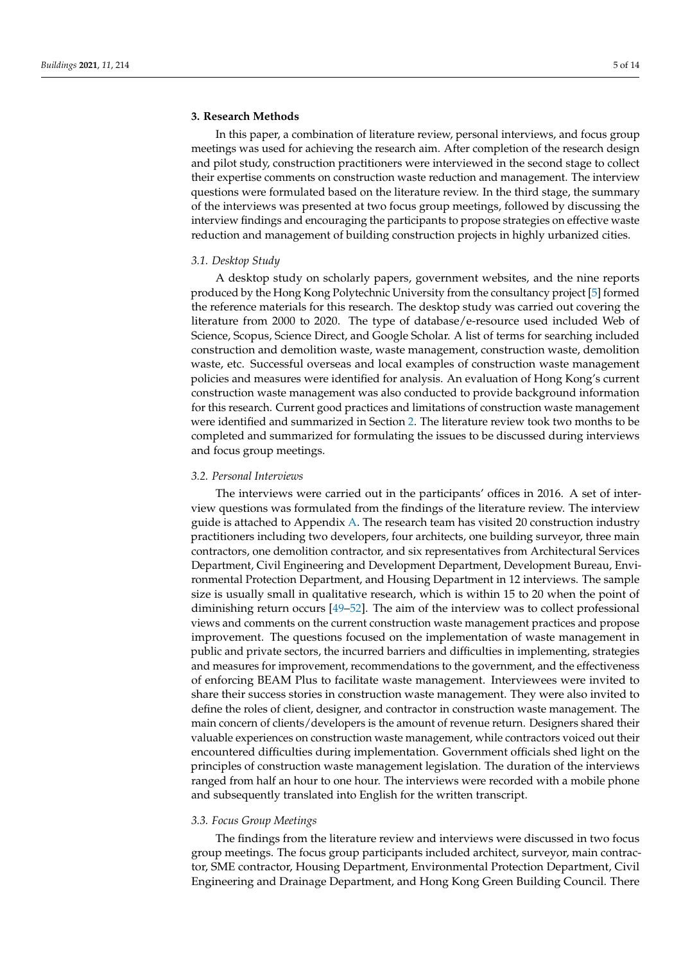# **3. Research Methods**

In this paper, a combination of literature review, personal interviews, and focus group meetings was used for achieving the research aim. After completion of the research design and pilot study, construction practitioners were interviewed in the second stage to collect their expertise comments on construction waste reduction and management. The interview questions were formulated based on the literature review. In the third stage, the summary of the interviews was presented at two focus group meetings, followed by discussing the interview findings and encouraging the participants to propose strategies on effective waste reduction and management of building construction projects in highly urbanized cities.

### *3.1. Desktop Study*

A desktop study on scholarly papers, government websites, and the nine reports produced by the Hong Kong Polytechnic University from the consultancy project [\[5\]](#page-12-4) formed the reference materials for this research. The desktop study was carried out covering the literature from 2000 to 2020. The type of database/e-resource used included Web of Science, Scopus, Science Direct, and Google Scholar. A list of terms for searching included construction and demolition waste, waste management, construction waste, demolition waste, etc. Successful overseas and local examples of construction waste management policies and measures were identified for analysis. An evaluation of Hong Kong's current construction waste management was also conducted to provide background information for this research. Current good practices and limitations of construction waste management were identified and summarized in Section [2.](#page-1-2) The literature review took two months to be completed and summarized for formulating the issues to be discussed during interviews and focus group meetings.

#### *3.2. Personal Interviews*

The interviews were carried out in the participants' offices in 2016. A set of interview questions was formulated from the findings of the literature review. The interview guide is attached to Appendix [A.](#page-11-0) The research team has visited 20 construction industry practitioners including two developers, four architects, one building surveyor, three main contractors, one demolition contractor, and six representatives from Architectural Services Department, Civil Engineering and Development Department, Development Bureau, Environmental Protection Department, and Housing Department in 12 interviews. The sample size is usually small in qualitative research, which is within 15 to 20 when the point of diminishing return occurs [\[49](#page-13-16)[–52\]](#page-13-17). The aim of the interview was to collect professional views and comments on the current construction waste management practices and propose improvement. The questions focused on the implementation of waste management in public and private sectors, the incurred barriers and difficulties in implementing, strategies and measures for improvement, recommendations to the government, and the effectiveness of enforcing BEAM Plus to facilitate waste management. Interviewees were invited to share their success stories in construction waste management. They were also invited to define the roles of client, designer, and contractor in construction waste management. The main concern of clients/developers is the amount of revenue return. Designers shared their valuable experiences on construction waste management, while contractors voiced out their encountered difficulties during implementation. Government officials shed light on the principles of construction waste management legislation. The duration of the interviews ranged from half an hour to one hour. The interviews were recorded with a mobile phone and subsequently translated into English for the written transcript.

#### *3.3. Focus Group Meetings*

The findings from the literature review and interviews were discussed in two focus group meetings. The focus group participants included architect, surveyor, main contractor, SME contractor, Housing Department, Environmental Protection Department, Civil Engineering and Drainage Department, and Hong Kong Green Building Council. There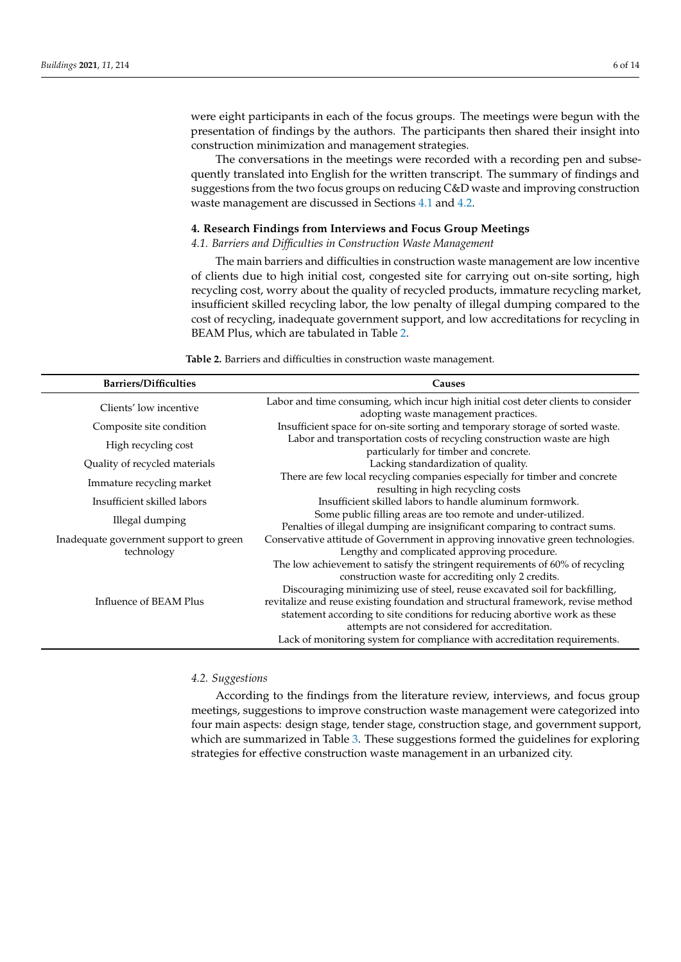were eight participants in each of the focus groups. The meetings were begun with the presentation of findings by the authors. The participants then shared their insight into construction minimization and management strategies.

The conversations in the meetings were recorded with a recording pen and subsequently translated into English for the written transcript. The summary of findings and suggestions from the two focus groups on reducing C&D waste and improving construction waste management are discussed in Sections [4.1](#page-5-0) and [4.2.](#page-5-1)

#### **4. Research Findings from Interviews and Focus Group Meetings**

# <span id="page-5-0"></span>*4.1. Barriers and Difficulties in Construction Waste Management*

The main barriers and difficulties in construction waste management are low incentive of clients due to high initial cost, congested site for carrying out on-site sorting, high recycling cost, worry about the quality of recycled products, immature recycling market, insufficient skilled recycling labor, the low penalty of illegal dumping compared to the cost of recycling, inadequate government support, and low accreditations for recycling in BEAM Plus, which are tabulated in Table [2.](#page-5-2)

**Table 2.** Barriers and difficulties in construction waste management.

<span id="page-5-2"></span>

| <b>Barriers/Difficulties</b>           | Causes                                                                            |
|----------------------------------------|-----------------------------------------------------------------------------------|
| Clients' low incentive                 | Labor and time consuming, which incur high initial cost deter clients to consider |
|                                        | adopting waste management practices.                                              |
| Composite site condition               | Insufficient space for on-site sorting and temporary storage of sorted waste.     |
|                                        | Labor and transportation costs of recycling construction waste are high           |
| High recycling cost                    | particularly for timber and concrete.                                             |
| Quality of recycled materials          | Lacking standardization of quality.                                               |
| Immature recycling market              | There are few local recycling companies especially for timber and concrete        |
|                                        | resulting in high recycling costs                                                 |
| Insufficient skilled labors            | Insufficient skilled labors to handle aluminum formwork.                          |
| Illegal dumping                        | Some public filling areas are too remote and under-utilized.                      |
|                                        | Penalties of illegal dumping are insignificant comparing to contract sums.        |
| Inadequate government support to green | Conservative attitude of Government in approving innovative green technologies.   |
| technology                             | Lengthy and complicated approving procedure.                                      |
|                                        | The low achievement to satisfy the stringent requirements of 60% of recycling     |
|                                        | construction waste for accrediting only 2 credits.                                |
|                                        | Discouraging minimizing use of steel, reuse excavated soil for backfilling,       |
| Influence of BEAM Plus                 | revitalize and reuse existing foundation and structural framework, revise method  |
|                                        | statement according to site conditions for reducing abortive work as these        |
|                                        | attempts are not considered for accreditation.                                    |
|                                        | Lack of monitoring system for compliance with accreditation requirements.         |

## <span id="page-5-1"></span>*4.2. Suggestions*

According to the findings from the literature review, interviews, and focus group meetings, suggestions to improve construction waste management were categorized into four main aspects: design stage, tender stage, construction stage, and government support, which are summarized in Table [3.](#page-6-0) These suggestions formed the guidelines for exploring strategies for effective construction waste management in an urbanized city.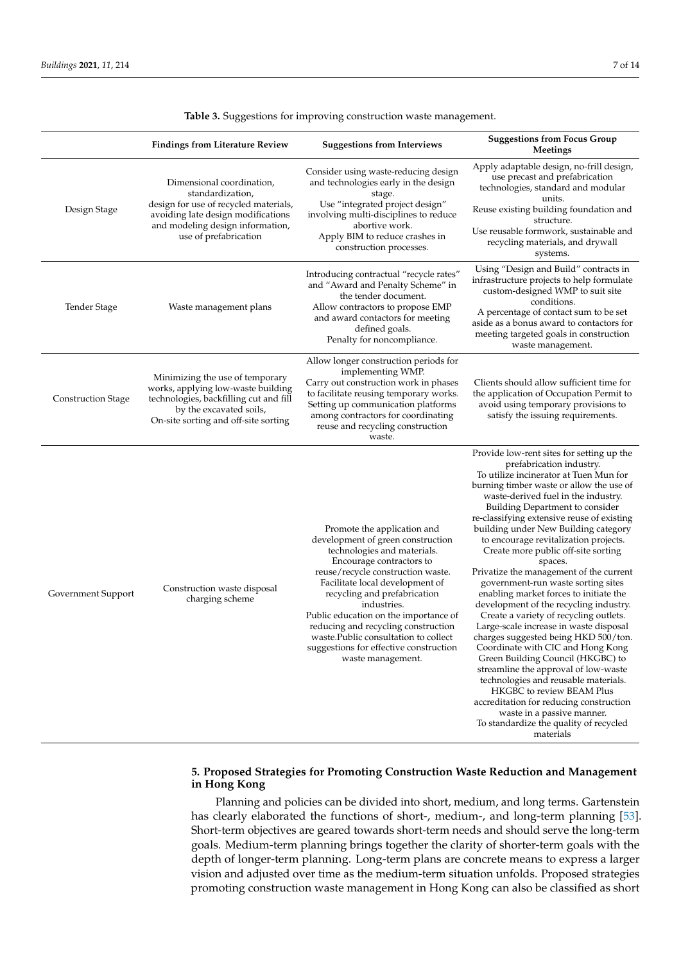<span id="page-6-0"></span>

|                           | <b>Findings from Literature Review</b>                                                                                                                                                    | <b>Suggestions from Interviews</b>                                                                                                                                                                                                                                                                                                                                                                                                         | <b>Suggestions from Focus Group</b><br>Meetings                                                                                                                                                                                                                                                                                                                                                                                                                                                                                                                                                                                                                                                                                                                                                                                                                                                                                                                                                                                                |
|---------------------------|-------------------------------------------------------------------------------------------------------------------------------------------------------------------------------------------|--------------------------------------------------------------------------------------------------------------------------------------------------------------------------------------------------------------------------------------------------------------------------------------------------------------------------------------------------------------------------------------------------------------------------------------------|------------------------------------------------------------------------------------------------------------------------------------------------------------------------------------------------------------------------------------------------------------------------------------------------------------------------------------------------------------------------------------------------------------------------------------------------------------------------------------------------------------------------------------------------------------------------------------------------------------------------------------------------------------------------------------------------------------------------------------------------------------------------------------------------------------------------------------------------------------------------------------------------------------------------------------------------------------------------------------------------------------------------------------------------|
| Design Stage              | Dimensional coordination,<br>standardization,<br>design for use of recycled materials,<br>avoiding late design modifications<br>and modeling design information,<br>use of prefabrication | Consider using waste-reducing design<br>and technologies early in the design<br>stage.<br>Use "integrated project design"<br>involving multi-disciplines to reduce<br>abortive work.<br>Apply BIM to reduce crashes in<br>construction processes.                                                                                                                                                                                          | Apply adaptable design, no-frill design,<br>use precast and prefabrication<br>technologies, standard and modular<br>units.<br>Reuse existing building foundation and<br>structure.<br>Use reusable formwork, sustainable and<br>recycling materials, and drywall<br>systems.                                                                                                                                                                                                                                                                                                                                                                                                                                                                                                                                                                                                                                                                                                                                                                   |
| Tender Stage              | Waste management plans                                                                                                                                                                    | Introducing contractual "recycle rates"<br>and "Award and Penalty Scheme" in<br>the tender document.<br>Allow contractors to propose EMP<br>and award contactors for meeting<br>defined goals.<br>Penalty for noncompliance.                                                                                                                                                                                                               | Using "Design and Build" contracts in<br>infrastructure projects to help formulate<br>custom-designed WMP to suit site<br>conditions.<br>A percentage of contact sum to be set<br>aside as a bonus award to contactors for<br>meeting targeted goals in construction<br>waste management.                                                                                                                                                                                                                                                                                                                                                                                                                                                                                                                                                                                                                                                                                                                                                      |
| <b>Construction Stage</b> | Minimizing the use of temporary<br>works, applying low-waste building<br>technologies, backfilling cut and fill<br>by the excavated soils,<br>On-site sorting and off-site sorting        | Allow longer construction periods for<br>implementing WMP.<br>Carry out construction work in phases<br>to facilitate reusing temporary works.<br>Setting up communication platforms<br>among contractors for coordinating<br>reuse and recycling construction<br>waste.                                                                                                                                                                    | Clients should allow sufficient time for<br>the application of Occupation Permit to<br>avoid using temporary provisions to<br>satisfy the issuing requirements.                                                                                                                                                                                                                                                                                                                                                                                                                                                                                                                                                                                                                                                                                                                                                                                                                                                                                |
| Government Support        | Construction waste disposal<br>charging scheme                                                                                                                                            | Promote the application and<br>development of green construction<br>technologies and materials.<br>Encourage contractors to<br>reuse/recycle construction waste.<br>Facilitate local development of<br>recycling and prefabrication<br>industries.<br>Public education on the importance of<br>reducing and recycling construction<br>waste. Public consultation to collect<br>suggestions for effective construction<br>waste management. | Provide low-rent sites for setting up the<br>prefabrication industry.<br>To utilize incinerator at Tuen Mun for<br>burning timber waste or allow the use of<br>waste-derived fuel in the industry.<br>Building Department to consider<br>re-classifying extensive reuse of existing<br>building under New Building category<br>to encourage revitalization projects.<br>Create more public off-site sorting<br>spaces.<br>Privatize the management of the current<br>government-run waste sorting sites<br>enabling market forces to initiate the<br>development of the recycling industry.<br>Create a variety of recycling outlets.<br>Large-scale increase in waste disposal<br>charges suggested being HKD 500/ton.<br>Coordinate with CIC and Hong Kong<br>Green Building Council (HKGBC) to<br>streamline the approval of low-waste<br>technologies and reusable materials.<br>HKGBC to review BEAM Plus<br>accreditation for reducing construction<br>waste in a passive manner.<br>To standardize the quality of recycled<br>materials |

**Table 3.** Suggestions for improving construction waste management.

# **5. Proposed Strategies for Promoting Construction Waste Reduction and Management in Hong Kong**

Planning and policies can be divided into short, medium, and long terms. Gartenstein has clearly elaborated the functions of short-, medium-, and long-term planning [\[53\]](#page-13-18). Short-term objectives are geared towards short-term needs and should serve the long-term goals. Medium-term planning brings together the clarity of shorter-term goals with the depth of longer-term planning. Long-term plans are concrete means to express a larger vision and adjusted over time as the medium-term situation unfolds. Proposed strategies promoting construction waste management in Hong Kong can also be classified as short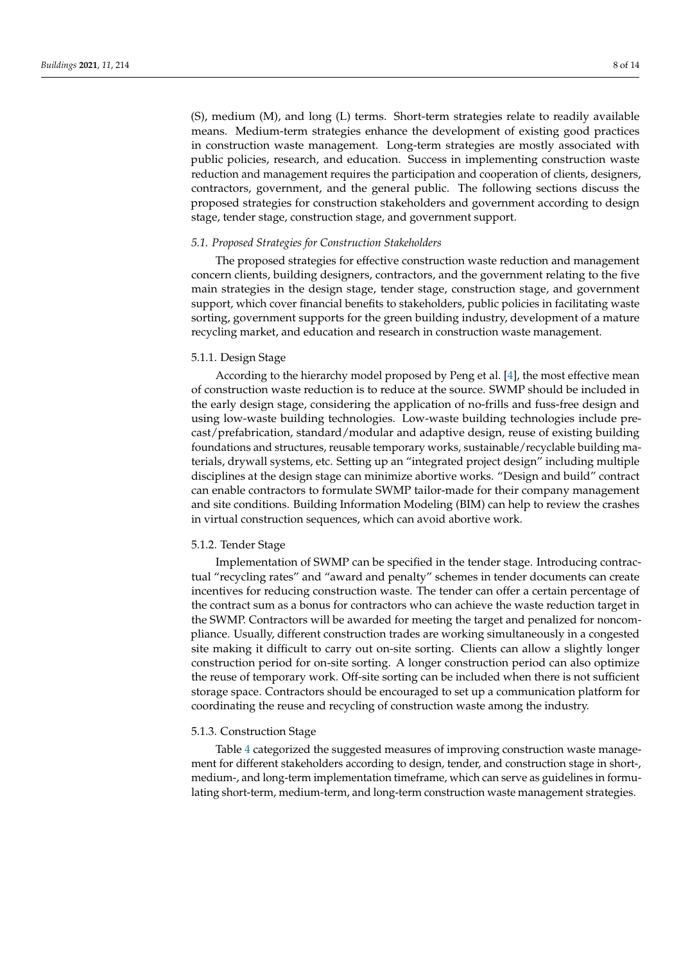(S), medium (M), and long (L) terms. Short-term strategies relate to readily available means. Medium-term strategies enhance the development of existing good practices in construction waste management. Long-term strategies are mostly associated with public policies, research, and education. Success in implementing construction waste reduction and management requires the participation and cooperation of clients, designers, contractors, government, and the general public. The following sections discuss the proposed strategies for construction stakeholders and government according to design stage, tender stage, construction stage, and government support.

# *5.1. Proposed Strategies for Construction Stakeholders*

The proposed strategies for effective construction waste reduction and management concern clients, building designers, contractors, and the government relating to the five main strategies in the design stage, tender stage, construction stage, and government support, which cover financial benefits to stakeholders, public policies in facilitating waste sorting, government supports for the green building industry, development of a mature recycling market, and education and research in construction waste management.

#### 5.1.1. Design Stage

According to the hierarchy model proposed by Peng et al. [\[4\]](#page-12-3), the most effective mean of construction waste reduction is to reduce at the source. SWMP should be included in the early design stage, considering the application of no-frills and fuss-free design and using low-waste building technologies. Low-waste building technologies include precast/prefabrication, standard/modular and adaptive design, reuse of existing building foundations and structures, reusable temporary works, sustainable/recyclable building materials, drywall systems, etc. Setting up an "integrated project design" including multiple disciplines at the design stage can minimize abortive works. "Design and build" contract can enable contractors to formulate SWMP tailor-made for their company management and site conditions. Building Information Modeling (BIM) can help to review the crashes in virtual construction sequences, which can avoid abortive work.

# 5.1.2. Tender Stage

Implementation of SWMP can be specified in the tender stage. Introducing contractual "recycling rates" and "award and penalty" schemes in tender documents can create incentives for reducing construction waste. The tender can offer a certain percentage of the contract sum as a bonus for contractors who can achieve the waste reduction target in the SWMP. Contractors will be awarded for meeting the target and penalized for noncompliance. Usually, different construction trades are working simultaneously in a congested site making it difficult to carry out on-site sorting. Clients can allow a slightly longer construction period for on-site sorting. A longer construction period can also optimize the reuse of temporary work. Off-site sorting can be included when there is not sufficient storage space. Contractors should be encouraged to set up a communication platform for coordinating the reuse and recycling of construction waste among the industry.

# 5.1.3. Construction Stage

Table [4](#page-8-0) categorized the suggested measures of improving construction waste management for different stakeholders according to design, tender, and construction stage in short-, medium-, and long-term implementation timeframe, which can serve as guidelines in formulating short-term, medium-term, and long-term construction waste management strategies.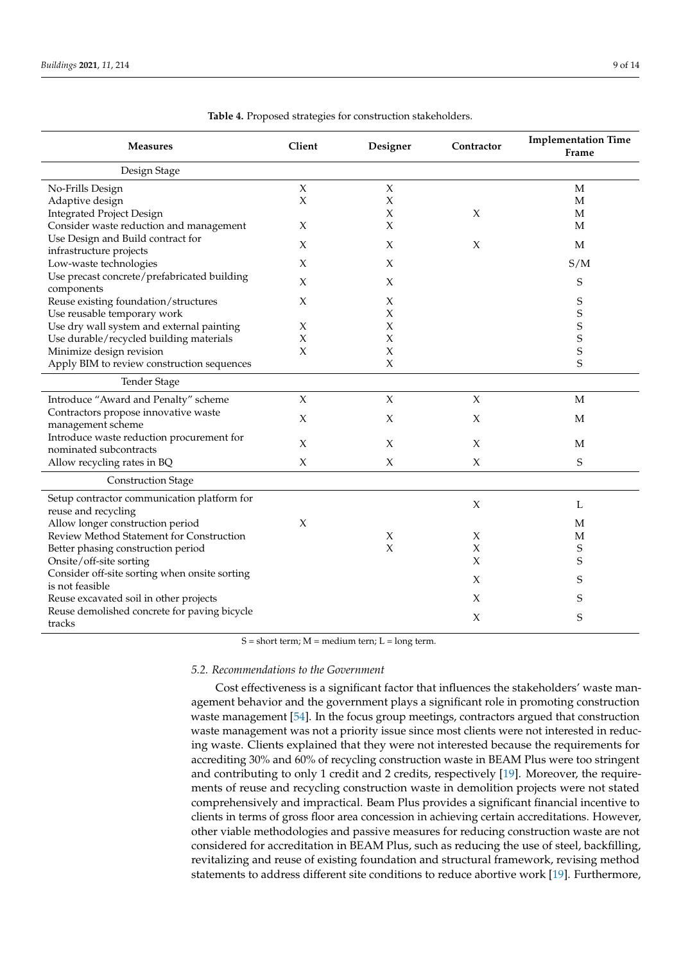<span id="page-8-0"></span>

| <b>Measures</b>                               | Client | Designer | Contractor | <b>Implementation Time</b><br>Frame |
|-----------------------------------------------|--------|----------|------------|-------------------------------------|
| Design Stage                                  |        |          |            |                                     |
| No-Frills Design                              | X      | $\chi$   |            | M                                   |
| Adaptive design                               | X      | X        |            | $\mathbf M$                         |
| <b>Integrated Project Design</b>              |        | X        | X          | $\mathbf M$                         |
| Consider waste reduction and management       | X      | $\chi$   |            | M                                   |
| Use Design and Build contract for             | X      | X        | X          | M                                   |
| infrastructure projects                       |        |          |            |                                     |
| Low-waste technologies                        | X      | X        |            | S/M                                 |
| Use precast concrete/prefabricated building   | X      | X        |            | S                                   |
| components                                    |        |          |            |                                     |
| Reuse existing foundation/structures          | Х      | X        |            | S                                   |
| Use reusable temporary work                   |        | $\chi$   |            | S                                   |
| Use dry wall system and external painting     | Χ      | $\chi$   |            | S                                   |
| Use durable/recycled building materials       | X      | $\chi$   |            | S                                   |
| Minimize design revision                      | X      | $\chi$   |            | S                                   |
| Apply BIM to review construction sequences    |        | $\chi$   |            | S                                   |
| <b>Tender Stage</b>                           |        |          |            |                                     |
| Introduce "Award and Penalty" scheme          | X      | X        | $\chi$     | M                                   |
| Contractors propose innovative waste          | X      | X        | X          | M                                   |
| management scheme                             |        |          |            |                                     |
| Introduce waste reduction procurement for     | X      | $\chi$   | X          | M                                   |
| nominated subcontracts                        |        |          |            |                                     |
| Allow recycling rates in BQ                   | X      | X        | X          | S                                   |
| <b>Construction Stage</b>                     |        |          |            |                                     |
| Setup contractor communication platform for   |        |          |            |                                     |
| reuse and recycling                           |        |          | $\chi$     | L                                   |
| Allow longer construction period              | $\chi$ |          |            | М                                   |
| Review Method Statement for Construction      |        | X        | X          | M                                   |
| Better phasing construction period            |        | $\chi$   | X          | S                                   |
| Onsite/off-site sorting                       |        |          | X          | S                                   |
| Consider off-site sorting when onsite sorting |        |          | X          | S                                   |
| is not feasible                               |        |          |            |                                     |
| Reuse excavated soil in other projects        |        |          | X          | S                                   |
| Reuse demolished concrete for paving bicycle  |        |          | X          | S                                   |
| tracks                                        |        |          |            |                                     |

|  |  |  |  | Table 4. Proposed strategies for construction stakeholders. |
|--|--|--|--|-------------------------------------------------------------|
|--|--|--|--|-------------------------------------------------------------|

 $S = short$  term;  $M = medium$  term;  $L = long$  term.

# *5.2. Recommendations to the Government*

Cost effectiveness is a significant factor that influences the stakeholders' waste management behavior and the government plays a significant role in promoting construction waste management [\[54\]](#page-13-19). In the focus group meetings, contractors argued that construction waste management was not a priority issue since most clients were not interested in reducing waste. Clients explained that they were not interested because the requirements for accrediting 30% and 60% of recycling construction waste in BEAM Plus were too stringent and contributing to only 1 credit and 2 credits, respectively [\[19\]](#page-12-17). Moreover, the requirements of reuse and recycling construction waste in demolition projects were not stated comprehensively and impractical. Beam Plus provides a significant financial incentive to clients in terms of gross floor area concession in achieving certain accreditations. However, other viable methodologies and passive measures for reducing construction waste are not considered for accreditation in BEAM Plus, such as reducing the use of steel, backfilling, revitalizing and reuse of existing foundation and structural framework, revising method statements to address different site conditions to reduce abortive work [\[19\]](#page-12-17). Furthermore,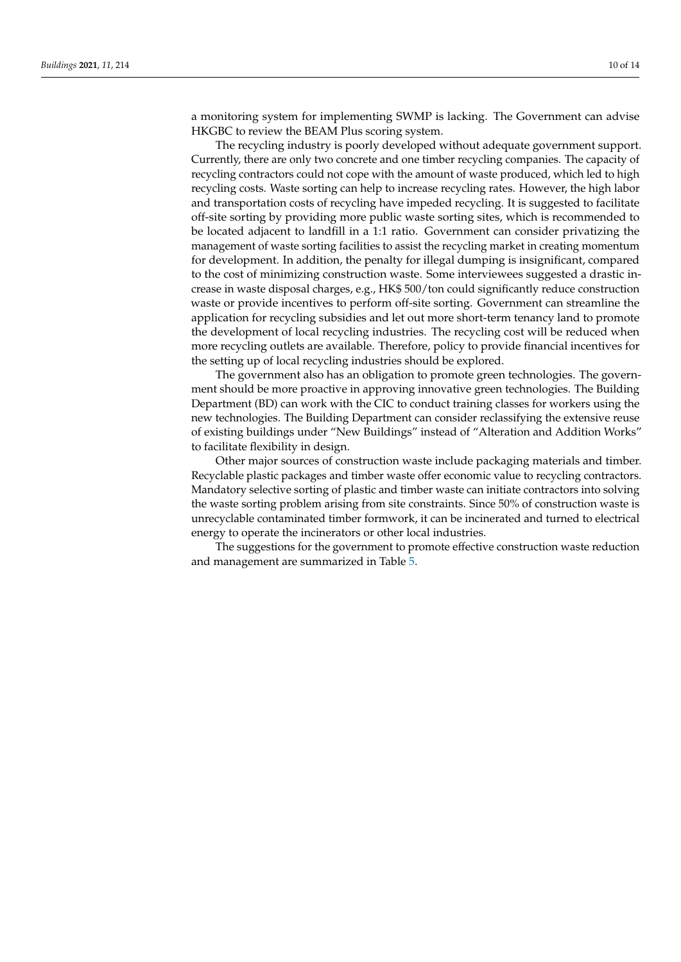a monitoring system for implementing SWMP is lacking. The Government can advise HKGBC to review the BEAM Plus scoring system.

The recycling industry is poorly developed without adequate government support. Currently, there are only two concrete and one timber recycling companies. The capacity of recycling contractors could not cope with the amount of waste produced, which led to high recycling costs. Waste sorting can help to increase recycling rates. However, the high labor and transportation costs of recycling have impeded recycling. It is suggested to facilitate off-site sorting by providing more public waste sorting sites, which is recommended to be located adjacent to landfill in a 1:1 ratio. Government can consider privatizing the management of waste sorting facilities to assist the recycling market in creating momentum for development. In addition, the penalty for illegal dumping is insignificant, compared to the cost of minimizing construction waste. Some interviewees suggested a drastic increase in waste disposal charges, e.g., HK\$ 500/ton could significantly reduce construction waste or provide incentives to perform off-site sorting. Government can streamline the application for recycling subsidies and let out more short-term tenancy land to promote the development of local recycling industries. The recycling cost will be reduced when more recycling outlets are available. Therefore, policy to provide financial incentives for the setting up of local recycling industries should be explored.

The government also has an obligation to promote green technologies. The government should be more proactive in approving innovative green technologies. The Building Department (BD) can work with the CIC to conduct training classes for workers using the new technologies. The Building Department can consider reclassifying the extensive reuse of existing buildings under "New Buildings" instead of "Alteration and Addition Works" to facilitate flexibility in design.

Other major sources of construction waste include packaging materials and timber. Recyclable plastic packages and timber waste offer economic value to recycling contractors. Mandatory selective sorting of plastic and timber waste can initiate contractors into solving the waste sorting problem arising from site constraints. Since 50% of construction waste is unrecyclable contaminated timber formwork, it can be incinerated and turned to electrical energy to operate the incinerators or other local industries.

The suggestions for the government to promote effective construction waste reduction and management are summarized in Table [5.](#page-10-0)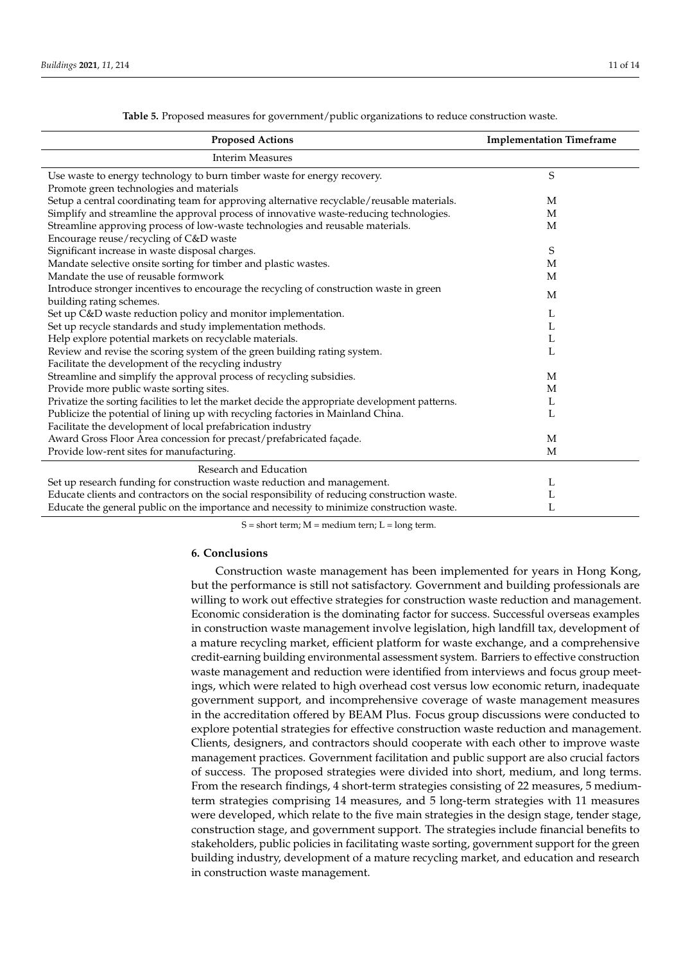<span id="page-10-0"></span>

| <b>Proposed Actions</b>                                                                         | <b>Implementation Timeframe</b> |
|-------------------------------------------------------------------------------------------------|---------------------------------|
| <b>Interim Measures</b>                                                                         |                                 |
| Use waste to energy technology to burn timber waste for energy recovery.                        | S                               |
| Promote green technologies and materials                                                        |                                 |
| Setup a central coordinating team for approving alternative recyclable/reusable materials.      | M                               |
| Simplify and streamline the approval process of innovative waste-reducing technologies.         | M                               |
| Streamline approving process of low-waste technologies and reusable materials.                  | M                               |
| Encourage reuse/recycling of C&D waste                                                          |                                 |
| Significant increase in waste disposal charges.                                                 | S                               |
| Mandate selective onsite sorting for timber and plastic wastes.                                 | M                               |
| Mandate the use of reusable formwork                                                            | M                               |
| Introduce stronger incentives to encourage the recycling of construction waste in green         | M                               |
| building rating schemes.                                                                        |                                 |
| Set up C&D waste reduction policy and monitor implementation.                                   | L                               |
| Set up recycle standards and study implementation methods.                                      | L                               |
| Help explore potential markets on recyclable materials.                                         | L                               |
| Review and revise the scoring system of the green building rating system.                       | L                               |
| Facilitate the development of the recycling industry                                            |                                 |
| Streamline and simplify the approval process of recycling subsidies.                            | M                               |
| Provide more public waste sorting sites.                                                        | М                               |
| Privatize the sorting facilities to let the market decide the appropriate development patterns. | L                               |
| Publicize the potential of lining up with recycling factories in Mainland China.                | L                               |
| Facilitate the development of local prefabrication industry                                     |                                 |
| Award Gross Floor Area concession for precast/prefabricated façade.                             | $\mathbf M$                     |
| Provide low-rent sites for manufacturing.                                                       | M                               |
| Research and Education                                                                          |                                 |
| Set up research funding for construction waste reduction and management.                        | L                               |
| Educate clients and contractors on the social responsibility of reducing construction waste.    | L                               |
| Educate the general public on the importance and necessity to minimize construction waste.      | L                               |

**Table 5.** Proposed measures for government/public organizations to reduce construction waste.

 $S = short$  term;  $M = medium$  term;  $L = long$  term.

#### **6. Conclusions**

Construction waste management has been implemented for years in Hong Kong, but the performance is still not satisfactory. Government and building professionals are willing to work out effective strategies for construction waste reduction and management. Economic consideration is the dominating factor for success. Successful overseas examples in construction waste management involve legislation, high landfill tax, development of a mature recycling market, efficient platform for waste exchange, and a comprehensive credit-earning building environmental assessment system. Barriers to effective construction waste management and reduction were identified from interviews and focus group meetings, which were related to high overhead cost versus low economic return, inadequate government support, and incomprehensive coverage of waste management measures in the accreditation offered by BEAM Plus. Focus group discussions were conducted to explore potential strategies for effective construction waste reduction and management. Clients, designers, and contractors should cooperate with each other to improve waste management practices. Government facilitation and public support are also crucial factors of success. The proposed strategies were divided into short, medium, and long terms. From the research findings, 4 short-term strategies consisting of 22 measures, 5 mediumterm strategies comprising 14 measures, and 5 long-term strategies with 11 measures were developed, which relate to the five main strategies in the design stage, tender stage, construction stage, and government support. The strategies include financial benefits to stakeholders, public policies in facilitating waste sorting, government support for the green building industry, development of a mature recycling market, and education and research in construction waste management.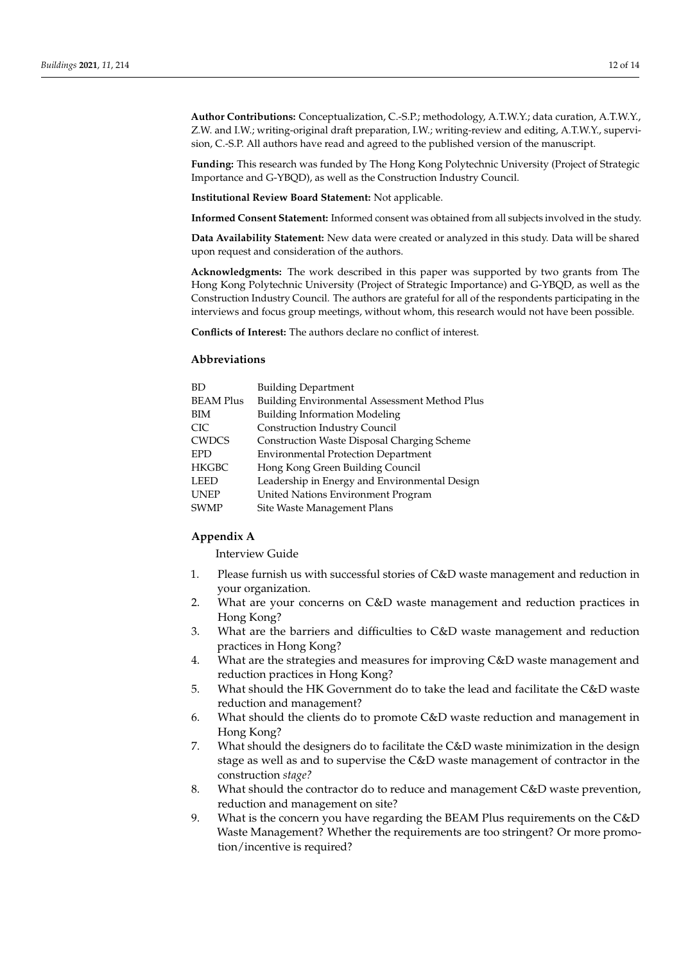**Author Contributions:** Conceptualization, C.-S.P.; methodology, A.T.W.Y.; data curation, A.T.W.Y., Z.W. and I.W.; writing-original draft preparation, I.W.; writing-review and editing, A.T.W.Y., supervision, C.-S.P. All authors have read and agreed to the published version of the manuscript.

**Funding:** This research was funded by The Hong Kong Polytechnic University (Project of Strategic Importance and G-YBQD), as well as the Construction Industry Council.

**Institutional Review Board Statement:** Not applicable.

**Informed Consent Statement:** Informed consent was obtained from all subjects involved in the study.

**Data Availability Statement:** New data were created or analyzed in this study. Data will be shared upon request and consideration of the authors.

**Acknowledgments:** The work described in this paper was supported by two grants from The Hong Kong Polytechnic University (Project of Strategic Importance) and G-YBQD, as well as the Construction Industry Council. The authors are grateful for all of the respondents participating in the interviews and focus group meetings, without whom, this research would not have been possible.

**Conflicts of Interest:** The authors declare no conflict of interest.

# **Abbreviations**

| <b>BD</b>        | <b>Building Department</b>                           |
|------------------|------------------------------------------------------|
| <b>BEAM Plus</b> | <b>Building Environmental Assessment Method Plus</b> |
| BIM              | <b>Building Information Modeling</b>                 |
| <b>CIC</b>       | Construction Industry Council                        |
| <b>CWDCS</b>     | <b>Construction Waste Disposal Charging Scheme</b>   |
| <b>EPD</b>       | <b>Environmental Protection Department</b>           |
| <b>HKGBC</b>     | Hong Kong Green Building Council                     |
| <b>LEED</b>      | Leadership in Energy and Environmental Design        |
| <b>UNEP</b>      | United Nations Environment Program                   |
| <b>SWMP</b>      | Site Waste Management Plans                          |

## <span id="page-11-0"></span>**Appendix A**

Interview Guide

- 1. Please furnish us with successful stories of C&D waste management and reduction in your organization.
- 2. What are your concerns on C&D waste management and reduction practices in Hong Kong?
- 3. What are the barriers and difficulties to C&D waste management and reduction practices in Hong Kong?
- 4. What are the strategies and measures for improving C&D waste management and reduction practices in Hong Kong?
- 5. What should the HK Government do to take the lead and facilitate the C&D waste reduction and management?
- 6. What should the clients do to promote C&D waste reduction and management in Hong Kong?
- 7. What should the designers do to facilitate the C&D waste minimization in the design stage as well as and to supervise the C&D waste management of contractor in the construction *stage?*
- 8. What should the contractor do to reduce and management C&D waste prevention, reduction and management on site?
- 9. What is the concern you have regarding the BEAM Plus requirements on the C&D Waste Management? Whether the requirements are too stringent? Or more promotion/incentive is required?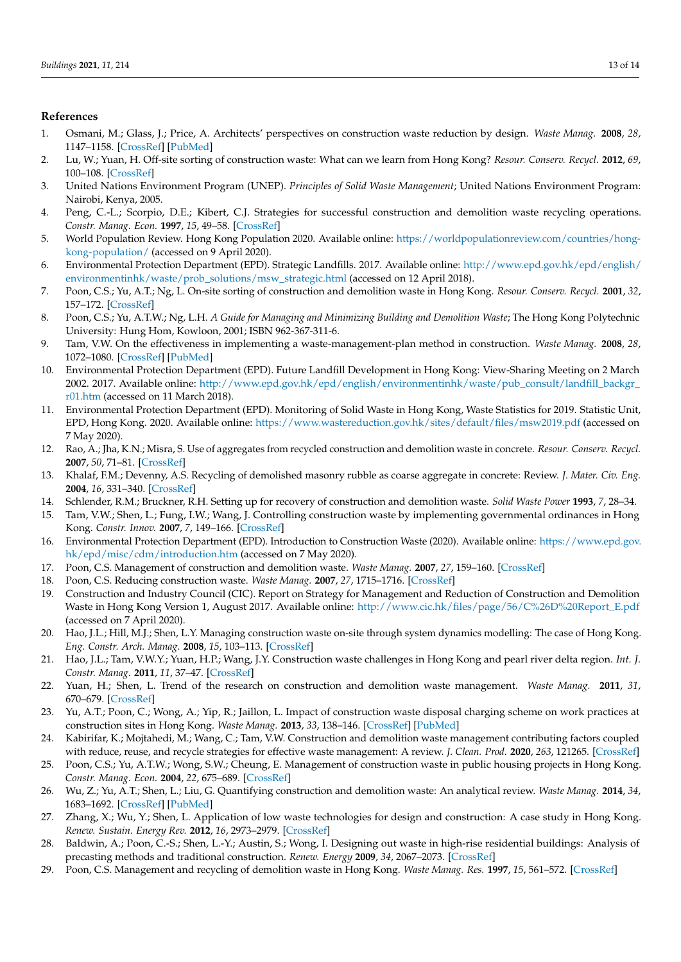# **References**

- <span id="page-12-0"></span>1. Osmani, M.; Glass, J.; Price, A. Architects' perspectives on construction waste reduction by design. *Waste Manag.* **2008**, *28*, 1147–1158. [\[CrossRef\]](http://doi.org/10.1016/j.wasman.2007.05.011) [\[PubMed\]](http://www.ncbi.nlm.nih.gov/pubmed/17624757)
- <span id="page-12-1"></span>2. Lu, W.; Yuan, H. Off-site sorting of construction waste: What can we learn from Hong Kong? *Resour. Conserv. Recycl.* **2012**, *69*, 100–108. [\[CrossRef\]](http://doi.org/10.1016/j.resconrec.2012.09.007)
- <span id="page-12-2"></span>3. United Nations Environment Program (UNEP). *Principles of Solid Waste Management*; United Nations Environment Program: Nairobi, Kenya, 2005.
- <span id="page-12-3"></span>4. Peng, C.-L.; Scorpio, D.E.; Kibert, C.J. Strategies for successful construction and demolition waste recycling operations. *Constr. Manag. Econ.* **1997**, *15*, 49–58. [\[CrossRef\]](http://doi.org/10.1080/014461997373105)
- <span id="page-12-4"></span>5. World Population Review. Hong Kong Population 2020. Available online: [https://worldpopulationreview.com/countries/hong](https://worldpopulationreview.com/countries/hong-kong-population/)[kong-population/](https://worldpopulationreview.com/countries/hong-kong-population/) (accessed on 9 April 2020).
- <span id="page-12-5"></span>6. Environmental Protection Department (EPD). Strategic Landfills. 2017. Available online: [http://www.epd.gov.hk/epd/english/](http://www.epd.gov.hk/epd/english/environmentinhk/waste/prob_solutions/msw_strategic.html) [environmentinhk/waste/prob\\_solutions/msw\\_strategic.html](http://www.epd.gov.hk/epd/english/environmentinhk/waste/prob_solutions/msw_strategic.html) (accessed on 12 April 2018).
- <span id="page-12-6"></span>7. Poon, C.S.; Yu, A.T.; Ng, L. On-site sorting of construction and demolition waste in Hong Kong. *Resour. Conserv. Recycl.* **2001**, *32*, 157–172. [\[CrossRef\]](http://doi.org/10.1016/S0921-3449(01)00052-0)
- <span id="page-12-14"></span>8. Poon, C.S.; Yu, A.T.W.; Ng, L.H. *A Guide for Managing and Minimizing Building and Demolition Waste*; The Hong Kong Polytechnic University: Hung Hom, Kowloon, 2001; ISBN 962-367-311-6.
- <span id="page-12-7"></span>9. Tam, V.W. On the effectiveness in implementing a waste-management-plan method in construction. *Waste Manag.* **2008**, *28*, 1072–1080. [\[CrossRef\]](http://doi.org/10.1016/j.wasman.2007.04.007) [\[PubMed\]](http://www.ncbi.nlm.nih.gov/pubmed/17574406)
- <span id="page-12-8"></span>10. Environmental Protection Department (EPD). Future Landfill Development in Hong Kong: View-Sharing Meeting on 2 March 2002. 2017. Available online: [http://www.epd.gov.hk/epd/english/environmentinhk/waste/pub\\_consult/landfill\\_backgr\\_](http://www.epd.gov.hk/epd/english/environmentinhk/waste/pub_consult/landfill_backgr_r01.htm) [r01.htm](http://www.epd.gov.hk/epd/english/environmentinhk/waste/pub_consult/landfill_backgr_r01.htm) (accessed on 11 March 2018).
- <span id="page-12-9"></span>11. Environmental Protection Department (EPD). Monitoring of Solid Waste in Hong Kong, Waste Statistics for 2019. Statistic Unit, EPD, Hong Kong. 2020. Available online: <https://www.wastereduction.gov.hk/sites/default/files/msw2019.pdf> (accessed on 7 May 2020).
- <span id="page-12-10"></span>12. Rao, A.; Jha, K.N.; Misra, S. Use of aggregates from recycled construction and demolition waste in concrete. *Resour. Conserv. Recycl.* **2007**, *50*, 71–81. [\[CrossRef\]](http://doi.org/10.1016/j.resconrec.2006.05.010)
- <span id="page-12-11"></span>13. Khalaf, F.M.; Devenny, A.S. Recycling of demolished masonry rubble as coarse aggregate in concrete: Review. *J. Mater. Civ. Eng.* **2004**, *16*, 331–340. [\[CrossRef\]](http://doi.org/10.1061/(ASCE)0899-1561(2004)16:4(331))
- <span id="page-12-12"></span>14. Schlender, R.M.; Bruckner, R.H. Setting up for recovery of construction and demolition waste. *Solid Waste Power* **1993**, *7*, 28–34.
- <span id="page-12-13"></span>15. Tam, V.W.; Shen, L.; Fung, I.W.; Wang, J. Controlling construction waste by implementing governmental ordinances in Hong Kong. *Constr. Innov.* **2007**, *7*, 149–166. [\[CrossRef\]](http://doi.org/10.1108/14714170710738522)
- <span id="page-12-15"></span>16. Environmental Protection Department (EPD). Introduction to Construction Waste (2020). Available online: [https://www.epd.gov.](https://www.epd.gov.hk/epd/misc/cdm/introduction.htm) [hk/epd/misc/cdm/introduction.htm](https://www.epd.gov.hk/epd/misc/cdm/introduction.htm) (accessed on 7 May 2020).
- <span id="page-12-16"></span>17. Poon, C.S. Management of construction and demolition waste. *Waste Manag.* **2007**, *27*, 159–160. [\[CrossRef\]](http://doi.org/10.1016/j.wasman.2006.10.012)
- <span id="page-12-22"></span>18. Poon, C.S. Reducing construction waste. *Waste Manag.* **2007**, *27*, 1715–1716. [\[CrossRef\]](http://doi.org/10.1016/j.wasman.2007.08.013)
- <span id="page-12-17"></span>19. Construction and Industry Council (CIC). Report on Strategy for Management and Reduction of Construction and Demolition Waste in Hong Kong Version 1, August 2017. Available online: [http://www.cic.hk/files/page/56/C%26D%20Report\\_E.pdf](http://www.cic.hk/files/page/56/C%26D%20Report_E.pdf) (accessed on 7 April 2020).
- <span id="page-12-18"></span>20. Hao, J.L.; Hill, M.J.; Shen, L.Y. Managing construction waste on-site through system dynamics modelling: The case of Hong Kong. *Eng. Constr. Arch. Manag.* **2008**, *15*, 103–113. [\[CrossRef\]](http://doi.org/10.1108/09699980810852646)
- 21. Hao, J.L.; Tam, V.W.Y.; Yuan, H.P.; Wang, J.Y. Construction waste challenges in Hong Kong and pearl river delta region. *Int. J. Constr. Manag.* **2011**, *11*, 37–47. [\[CrossRef\]](http://doi.org/10.1080/15623599.2011.10773160)
- 22. Yuan, H.; Shen, L. Trend of the research on construction and demolition waste management. *Waste Manag.* **2011**, *31*, 670–679. [\[CrossRef\]](http://doi.org/10.1016/j.wasman.2010.10.030)
- <span id="page-12-19"></span>23. Yu, A.T.; Poon, C.; Wong, A.; Yip, R.; Jaillon, L. Impact of construction waste disposal charging scheme on work practices at construction sites in Hong Kong. *Waste Manag.* **2013**, *33*, 138–146. [\[CrossRef\]](http://doi.org/10.1016/j.wasman.2012.09.023) [\[PubMed\]](http://www.ncbi.nlm.nih.gov/pubmed/23122205)
- <span id="page-12-20"></span>24. Kabirifar, K.; Mojtahedi, M.; Wang, C.; Tam, V.W. Construction and demolition waste management contributing factors coupled with reduce, reuse, and recycle strategies for effective waste management: A review. *J. Clean. Prod.* **2020**, *263*, 121265. [\[CrossRef\]](http://doi.org/10.1016/j.jclepro.2020.121265)
- <span id="page-12-21"></span>25. Poon, C.S.; Yu, A.T.W.; Wong, S.W.; Cheung, E. Management of construction waste in public housing projects in Hong Kong. *Constr. Manag. Econ.* **2004**, *22*, 675–689. [\[CrossRef\]](http://doi.org/10.1080/0144619042000213292)
- <span id="page-12-23"></span>26. Wu, Z.; Yu, A.T.; Shen, L.; Liu, G. Quantifying construction and demolition waste: An analytical review. *Waste Manag.* **2014**, *34*, 1683–1692. [\[CrossRef\]](http://doi.org/10.1016/j.wasman.2014.05.010) [\[PubMed\]](http://www.ncbi.nlm.nih.gov/pubmed/24970618)
- <span id="page-12-24"></span>27. Zhang, X.; Wu, Y.; Shen, L. Application of low waste technologies for design and construction: A case study in Hong Kong. *Renew. Sustain. Energy Rev.* **2012**, *16*, 2973–2979. [\[CrossRef\]](http://doi.org/10.1016/j.rser.2012.02.020)
- <span id="page-12-25"></span>28. Baldwin, A.; Poon, C.-S.; Shen, L.-Y.; Austin, S.; Wong, I. Designing out waste in high-rise residential buildings: Analysis of precasting methods and traditional construction. *Renew. Energy* **2009**, *34*, 2067–2073. [\[CrossRef\]](http://doi.org/10.1016/j.renene.2009.02.008)
- <span id="page-12-26"></span>29. Poon, C.S. Management and recycling of demolition waste in Hong Kong. *Waste Manag. Res.* **1997**, *15*, 561–572. [\[CrossRef\]](http://doi.org/10.1177/0734242X9701500602)